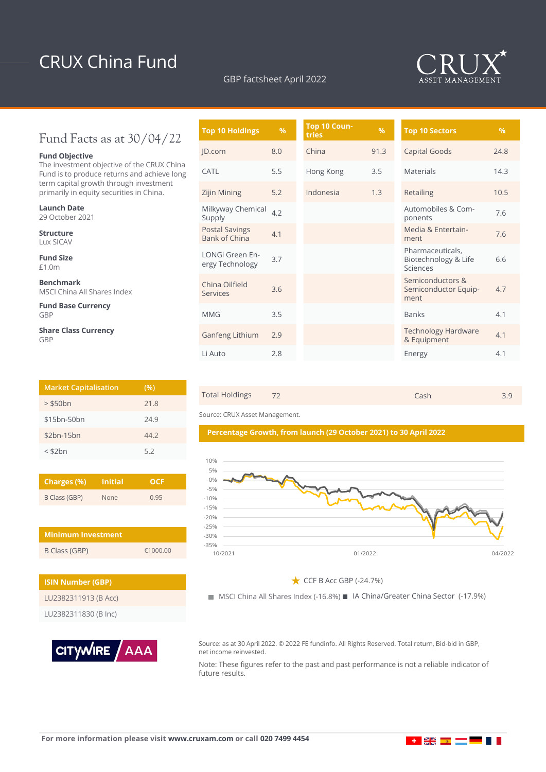# CRUX China Fund

### GBP factsheet April 2022



## Fund Facts as at 30/04/22

### **Fund Objective**

The investment objective of the CRUX China Fund is to produce returns and achieve long term capital growth through investment primarily in equity securities in China.

| <b>Launch Date</b><br>29 October 2021           |
|-------------------------------------------------|
| Structure<br>Lux SICAV                          |
| <b>Fund Size</b><br>£1.0m                       |
| <b>Benchmark</b><br>MSCI China All Shares Index |
| <b>Fund Base Currency</b><br>GBP                |
| .                                               |

**Share Class Currency** GBP

| <b>Market Capitalisation</b> | (%)  |
|------------------------------|------|
| $>$ \$50 $bn$                | 21.8 |
| \$15bn-50bn                  | 24.9 |
| $$2bn-15bn$                  | 44.7 |
| $<$ \$2 $bn$                 | 5.2  |

| Charges (%)   | <b>Initial</b> | OCE  |  |  |
|---------------|----------------|------|--|--|
| B Class (GBP) | <b>None</b>    | 0.95 |  |  |

| <b>Minimum Investment</b> |          |
|---------------------------|----------|
| B Class (GBP)             | €1000.00 |

| <b>ISIN Number (GBP)</b> |  |  |  |
|--------------------------|--|--|--|
| LU2382311913 (B Acc)     |  |  |  |
| LU2382311830 (B Inc)     |  |  |  |



| <b>Top 10 Holdings</b>                        | $\frac{9}{6}$ | Top 10 Coun-<br>tries | $\frac{9}{6}$ | <b>Top 10 Sectors</b>                                |  |
|-----------------------------------------------|---------------|-----------------------|---------------|------------------------------------------------------|--|
| JD.com                                        | 8.0           | China                 | 91.3          | Capital Goods                                        |  |
| CATL                                          | 5.5           | Hong Kong             | 3.5           | <b>Materials</b>                                     |  |
| Zijin Mining                                  | 5.2           | Indonesia             | 1.3           | Retailing                                            |  |
| Milkyway Chemical<br>Supply                   | 4.2           |                       |               | Automobiles & Com-<br>ponents                        |  |
| <b>Postal Savings</b><br><b>Bank of China</b> | 4.1           |                       |               | Media & Entertain-<br>ment                           |  |
| LONGi Green En-<br>ergy Technology            | 3.7           |                       |               | Pharmaceuticals,<br>Biotechnology & Life<br>Sciences |  |
| China Oilfield<br>Services                    | 3.6           |                       |               | Semiconductors &<br>Semiconductor Equip-<br>ment     |  |
| <b>MMG</b>                                    | 3.5           |                       |               | <b>Banks</b>                                         |  |
| Ganfeng Lithium                               | 2.9           |                       |               | <b>Technology Hardware</b><br>& Equipment            |  |
| Li Auto                                       | 2.8           |                       |               | Energy                                               |  |



**Percentage Growth, from launch (29 October 2021) to 30 April 2022**

Source: CRUX Asset Management.



 $\bigstar$  CCF B Acc GBP (-24.7%)

MSCI China All Shares Index (-16.8%) IA China/Greater China Sector (-17.9%)

Source: as at 30 April 2022. © 2022 FE fundinfo. All Rights Reserved. Total return, Bid-bid in GBP, net income reinvested.

Note: These figures refer to the past and past performance is not a reliable indicator of future results.

▌**▗▕▕▓▓▕▆▆▏▆▆▏█▆▕▊▕▌▐▏**